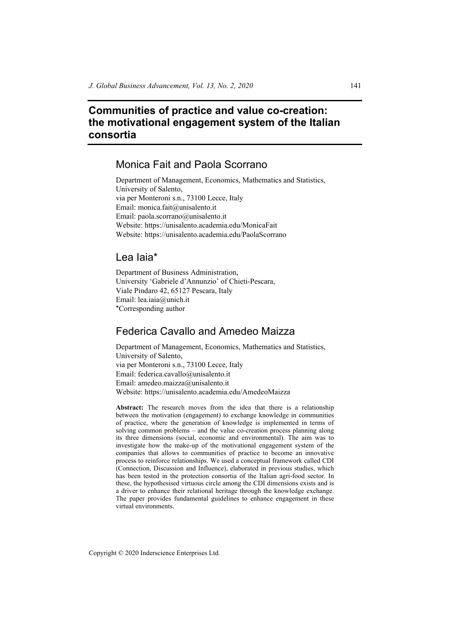# **Communities of practice and value co-creation: the motivational engagement system of the Italian consortia**

## Monica Fait and Paola Scorrano

Department of Management, Economics, Mathematics and Statistics, University of Salento, via per Monteroni s.n., 73100 Lecce, Italy Email: monica.fait@unisalento.it Email: paola.scorrano@unisalento.it Website: https://unisalento.academia.edu/MonicaFait Website: https://unisalento.academia.edu/PaolaScorrano

## Lea Iaia\*

Department of Business Administration, University 'Gabriele d'Annunzio' of Chieti-Pescara, Viale Pindaro 42, 65127 Pescara, Italy Email: lea.iaia@unich.it \*Corresponding author

## Federica Cavallo and Amedeo Maizza

Department of Management, Economics, Mathematics and Statistics, University of Salento, via per Monteroni s.n., 73100 Lecce, Italy Email: federica.cavallo@unisalento.it Email: amedeo.maizza@unisalento.it Website: https://unisalento.academia.edu/AmedeoMaizza

**Abstract:** The research moves from the idea that there is a relationship between the motivation (engagement) to exchange knowledge in communities of practice, where the generation of knowledge is implemented in terms of solving common problems – and the value co-creation process planning along its three dimensions (social, economic and environmental). The aim was to investigate how the make-up of the motivational engagement system of the companies that allows to communities of practice to become an innovative process to reinforce relationships. We used a conceptual framework called CDI (Connection, Discussion and Influence), elaborated in previous studies, which has been tested in the protection consortia of the Italian agri-food sector. In these, the hypothesised virtuous circle among the CDI dimensions exists and is a driver to enhance their relational heritage through the knowledge exchange. The paper provides fundamental guidelines to enhance engagement in these virtual environments.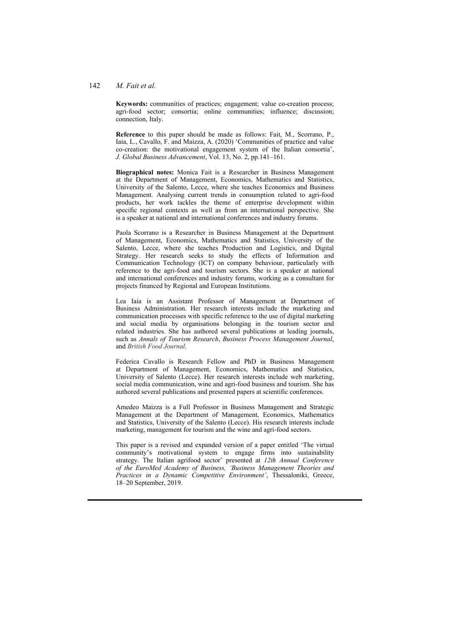#### 142 *M. Fait et al.*

**Keywords:** communities of practices: engagement: value co-creation process: agri-food sector; consortia; online communities; influence; discussion; connection, Italy.

**Reference** to this paper should be made as follows: Fait, M., Scorrano, P., Iaia, L., Cavallo, F. and Maizza, A. (2020) 'Communities of practice and value co-creation: the motivational engagement system of the Italian consortia', *J. Global Business Advancement*, Vol. 13, No. 2, pp.141–161.

**Biographical notes:** Monica Fait is a Researcher in Business Management at the Department of Management, Economics, Mathematics and Statistics, University of the Salento, Lecce, where she teaches Economics and Business Management. Analysing current trends in consumption related to agri-food products, her work tackles the theme of enterprise development within specific regional contexts as well as from an international perspective. She is a speaker at national and international conferences and industry forums.

Paola Scorrano is a Researcher in Business Management at the Department of Management, Economics, Mathematics and Statistics, University of the Salento, Lecce, where she teaches Production and Logistics, and Digital Strategy. Her research seeks to study the effects of Information and Communication Technology (ICT) on company behaviour, particularly with reference to the agri-food and tourism sectors. She is a speaker at national and international conferences and industry forums, working as a consultant for projects financed by Regional and European Institutions.

Lea Iaia is an Assistant Professor of Management at Department of Business Administration. Her research interests include the marketing and communication processes with specific reference to the use of digital marketing and social media by organisations belonging in the tourism sector and related industries. She has authored several publications at leading journals, such as *Annals of Tourism Research*, *Business Process Management Journal*, and *British Food Journal*.

Federica Cavallo is Research Fellow and PhD in Business Management at Department of Management, Economics, Mathematics and Statistics, University of Salento (Lecce). Her research interests include web marketing, social media communication, wine and agri-food business and tourism. She has authored several publications and presented papers at scientific conferences.

Amedeo Maizza is a Full Professor in Business Management and Strategic Management at the Department of Management, Economics, Mathematics and Statistics, University of the Salento (Lecce). His research interests include marketing, management for tourism and the wine and agri-food sectors.

This paper is a revised and expanded version of a paper entitled 'The virtual community's motivational system to engage firms into sustainability strategy. The Italian agrifood sector' presented at *12th Annual Conference of the EuroMed Academy of Business, 'Business Management Theories and Practices in a Dynamic Competitive Environment'*, Thessaloniki, Greece, 18–20 September, 2019.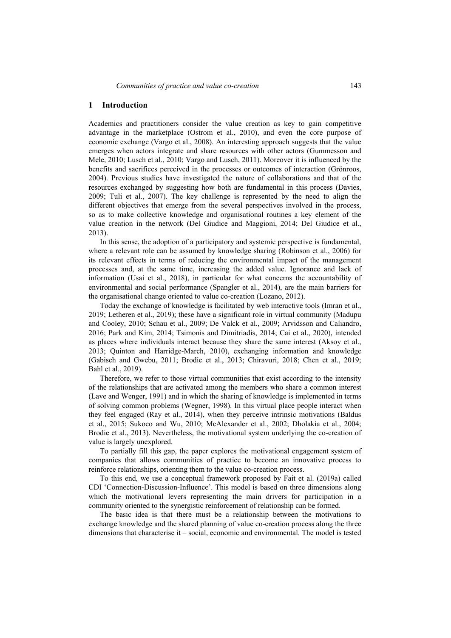#### **1 Introduction**

Academics and practitioners consider the value creation as key to gain competitive advantage in the marketplace (Ostrom et al., 2010), and even the core purpose of economic exchange (Vargo et al., 2008). An interesting approach suggests that the value emerges when actors integrate and share resources with other actors (Gummesson and Mele, 2010; Lusch et al., 2010; Vargo and Lusch, 2011). Moreover it is influenced by the benefits and sacrifices perceived in the processes or outcomes of interaction (Grönroos, 2004). Previous studies have investigated the nature of collaborations and that of the resources exchanged by suggesting how both are fundamental in this process (Davies, 2009; Tuli et al., 2007). The key challenge is represented by the need to align the different objectives that emerge from the several perspectives involved in the process, so as to make collective knowledge and organisational routines a key element of the value creation in the network (Del Giudice and Maggioni, 2014; Del Giudice et al., 2013).

In this sense, the adoption of a participatory and systemic perspective is fundamental, where a relevant role can be assumed by knowledge sharing (Robinson et al., 2006) for its relevant effects in terms of reducing the environmental impact of the management processes and, at the same time, increasing the added value. Ignorance and lack of information (Usai et al., 2018), in particular for what concerns the accountability of environmental and social performance (Spangler et al., 2014), are the main barriers for the organisational change oriented to value co-creation (Lozano, 2012).

Today the exchange of knowledge is facilitated by web interactive tools (Imran et al., 2019; Letheren et al., 2019); these have a significant role in virtual community (Madupu and Cooley, 2010; Schau et al., 2009; De Valck et al., 2009; Arvidsson and Caliandro, 2016; Park and Kim, 2014; Tsimonis and Dimitriadis, 2014; Cai et al., 2020), intended as places where individuals interact because they share the same interest (Aksoy et al., 2013; Quinton and Harridge-March, 2010), exchanging information and knowledge (Gabisch and Gwebu, 2011; Brodie et al., 2013; Chiravuri, 2018; Chen et al., 2019; Bahl et al., 2019).

Therefore, we refer to those virtual communities that exist according to the intensity of the relationships that are activated among the members who share a common interest (Lave and Wenger, 1991) and in which the sharing of knowledge is implemented in terms of solving common problems (Wegner, 1998). In this virtual place people interact when they feel engaged (Ray et al., 2014), when they perceive intrinsic motivations (Baldus et al., 2015; Sukoco and Wu, 2010; McAlexander et al., 2002; Dholakia et al., 2004; Brodie et al., 2013). Nevertheless, the motivational system underlying the co-creation of value is largely unexplored.

To partially fill this gap, the paper explores the motivational engagement system of companies that allows communities of practice to become an innovative process to reinforce relationships, orienting them to the value co-creation process.

To this end, we use a conceptual framework proposed by Fait et al. (2019a) called CDI 'Connection-Discussion-Influence'. This model is based on three dimensions along which the motivational levers representing the main drivers for participation in a community oriented to the synergistic reinforcement of relationship can be formed.

The basic idea is that there must be a relationship between the motivations to exchange knowledge and the shared planning of value co-creation process along the three dimensions that characterise it – social, economic and environmental. The model is tested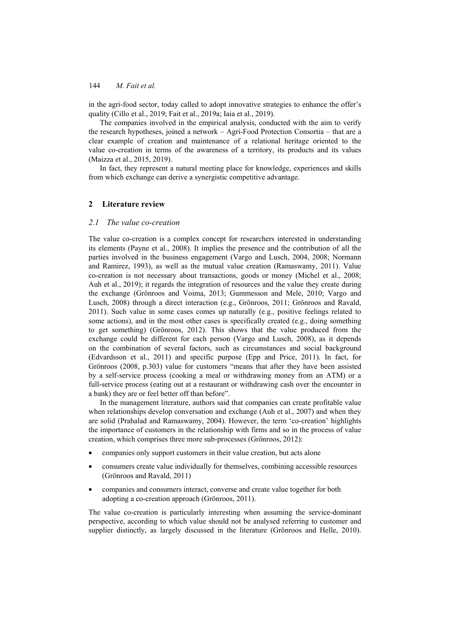in the agri-food sector, today called to adopt innovative strategies to enhance the offer's quality (Cillo et al., 2019; Fait et al., 2019a; Iaia et al., 2019).

The companies involved in the empirical analysis, conducted with the aim to verify the research hypotheses, joined a network – Agri-Food Protection Consortia – that are a clear example of creation and maintenance of a relational heritage oriented to the value co-creation in terms of the awareness of a territory, its products and its values (Maizza et al., 2015, 2019).

In fact, they represent a natural meeting place for knowledge, experiences and skills from which exchange can derive a synergistic competitive advantage.

## **2 Literature review**

### *2.1 The value co-creation*

The value co-creation is a complex concept for researchers interested in understanding its elements (Payne et al., 2008). It implies the presence and the contribution of all the parties involved in the business engagement (Vargo and Lusch, 2004, 2008; Normann and Ramirez, 1993), as well as the mutual value creation (Ramaswamy, 2011). Value co-creation is not necessary about transactions, goods or money (Michel et al., 2008; Auh et al., 2019); it regards the integration of resources and the value they create during the exchange (Grönroos and Voima, 2013; Gummesson and Mele, 2010; Vargo and Lusch, 2008) through a direct interaction (e.g., Grönroos, 2011; Grönroos and Ravald, 2011). Such value in some cases comes up naturally (e.g., positive feelings related to some actions), and in the most other cases is specifically created (e.g., doing something to get something) (Grönroos, 2012). This shows that the value produced from the exchange could be different for each person (Vargo and Lusch, 2008), as it depends on the combination of several factors, such as circumstances and social background (Edvardsson et al., 2011) and specific purpose (Epp and Price, 2011). In fact, for Grönroos (2008, p.303) value for customers "means that after they have been assisted by a self-service process (cooking a meal or withdrawing money from an ATM) or a full-service process (eating out at a restaurant or withdrawing cash over the encounter in a bank) they are or feel better off than before".

In the management literature, authors said that companies can create profitable value when relationships develop conversation and exchange (Auh et al., 2007) and when they are solid (Prahalad and Ramaswamy, 2004). However, the term 'co-creation' highlights the importance of customers in the relationship with firms and so in the process of value creation, which comprises three more sub-processes (Grönroos, 2012):

- companies only support customers in their value creation, but acts alone
- consumers create value individually for themselves, combining accessible resources (Grönroos and Ravald, 2011)
- companies and consumers interact, converse and create value together for both adopting a co-creation approach (Grönroos, 2011).

The value co-creation is particularly interesting when assuming the service-dominant perspective, according to which value should not be analysed referring to customer and supplier distinctly, as largely discussed in the literature (Grönroos and Helle, 2010).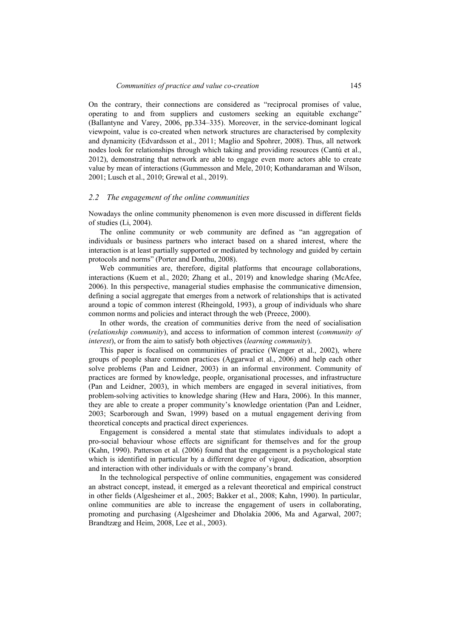On the contrary, their connections are considered as "reciprocal promises of value, operating to and from suppliers and customers seeking an equitable exchange" (Ballantyne and Varey, 2006, pp.334–335). Moreover, in the service-dominant logical viewpoint, value is co-created when network structures are characterised by complexity and dynamicity (Edvardsson et al., 2011; Maglio and Spohrer, 2008). Thus, all network nodes look for relationships through which taking and providing resources (Cantù et al., 2012), demonstrating that network are able to engage even more actors able to create value by mean of interactions (Gummesson and Mele, 2010; Kothandaraman and Wilson, 2001; Lusch et al., 2010; Grewal et al., 2019).

#### *2.2 The engagement of the online communities*

Nowadays the online community phenomenon is even more discussed in different fields of studies (Li, 2004).

The online community or web community are defined as "an aggregation of individuals or business partners who interact based on a shared interest, where the interaction is at least partially supported or mediated by technology and guided by certain protocols and norms" (Porter and Donthu, 2008).

Web communities are, therefore, digital platforms that encourage collaborations, interactions (Kuem et al., 2020; Zhang et al., 2019) and knowledge sharing (McAfee, 2006). In this perspective, managerial studies emphasise the communicative dimension, defining a social aggregate that emerges from a network of relationships that is activated around a topic of common interest (Rheingold, 1993), a group of individuals who share common norms and policies and interact through the web (Preece, 2000).

In other words, the creation of communities derive from the need of socialisation (*relationship community*), and access to information of common interest (*community of interest*), or from the aim to satisfy both objectives (*learning community*).

This paper is focalised on communities of practice (Wenger et al., 2002), where groups of people share common practices (Aggarwal et al., 2006) and help each other solve problems (Pan and Leidner, 2003) in an informal environment. Community of practices are formed by knowledge, people, organisational processes, and infrastructure (Pan and Leidner, 2003), in which members are engaged in several initiatives, from problem-solving activities to knowledge sharing (Hew and Hara, 2006). In this manner, they are able to create a proper community's knowledge orientation (Pan and Leidner, 2003; Scarborough and Swan, 1999) based on a mutual engagement deriving from theoretical concepts and practical direct experiences.

Engagement is considered a mental state that stimulates individuals to adopt a pro-social behaviour whose effects are significant for themselves and for the group (Kahn, 1990). Patterson et al. (2006) found that the engagement is a psychological state which is identified in particular by a different degree of vigour, dedication, absorption and interaction with other individuals or with the company's brand.

In the technological perspective of online communities, engagement was considered an abstract concept, instead, it emerged as a relevant theoretical and empirical construct in other fields (Algesheimer et al., 2005; Bakker et al., 2008; Kahn, 1990). In particular, online communities are able to increase the engagement of users in collaborating, promoting and purchasing (Algesheimer and Dholakia 2006, Ma and Agarwal, 2007; Brandtzæg and Heim, 2008, Lee et al., 2003).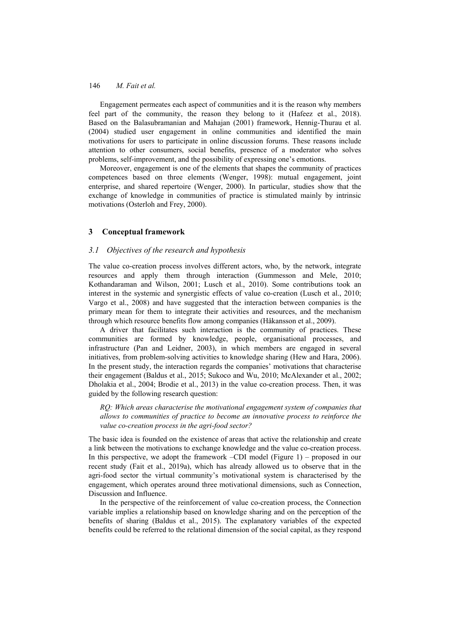Engagement permeates each aspect of communities and it is the reason why members feel part of the community, the reason they belong to it (Hafeez et al., 2018). Based on the Balasubramanian and Mahajan (2001) framework, Hennig-Thurau et al. (2004) studied user engagement in online communities and identified the main motivations for users to participate in online discussion forums. These reasons include attention to other consumers, social benefits, presence of a moderator who solves problems, self-improvement, and the possibility of expressing one's emotions.

Moreover, engagement is one of the elements that shapes the community of practices competences based on three elements (Wenger, 1998): mutual engagement, joint enterprise, and shared repertoire (Wenger, 2000). In particular, studies show that the exchange of knowledge in communities of practice is stimulated mainly by intrinsic motivations (Osterloh and Frey, 2000).

### **3 Conceptual framework**

#### *3.1 Objectives of the research and hypothesis*

The value co-creation process involves different actors, who, by the network, integrate resources and apply them through interaction (Gummesson and Mele, 2010; Kothandaraman and Wilson, 2001; Lusch et al., 2010). Some contributions took an interest in the systemic and synergistic effects of value co-creation (Lusch et al., 2010; Vargo et al., 2008) and have suggested that the interaction between companies is the primary mean for them to integrate their activities and resources, and the mechanism through which resource benefits flow among companies (Håkansson et al., 2009).

A driver that facilitates such interaction is the community of practices. These communities are formed by knowledge, people, organisational processes, and infrastructure (Pan and Leidner, 2003), in which members are engaged in several initiatives, from problem-solving activities to knowledge sharing (Hew and Hara, 2006). In the present study, the interaction regards the companies' motivations that characterise their engagement (Baldus et al., 2015; Sukoco and Wu, 2010; McAlexander et al., 2002; Dholakia et al., 2004; Brodie et al., 2013) in the value co-creation process. Then, it was guided by the following research question:

*RQ: Which areas characterise the motivational engagement system of companies that allows to communities of practice to become an innovative process to reinforce the value co-creation process in the agri-food sector?* 

The basic idea is founded on the existence of areas that active the relationship and create a link between the motivations to exchange knowledge and the value co-creation process. In this perspective, we adopt the framework –CDI model (Figure 1) – proposed in our recent study (Fait et al., 2019a), which has already allowed us to observe that in the agri-food sector the virtual community's motivational system is characterised by the engagement, which operates around three motivational dimensions, such as Connection, Discussion and Influence.

In the perspective of the reinforcement of value co-creation process, the Connection variable implies a relationship based on knowledge sharing and on the perception of the benefits of sharing (Baldus et al., 2015). The explanatory variables of the expected benefits could be referred to the relational dimension of the social capital, as they respond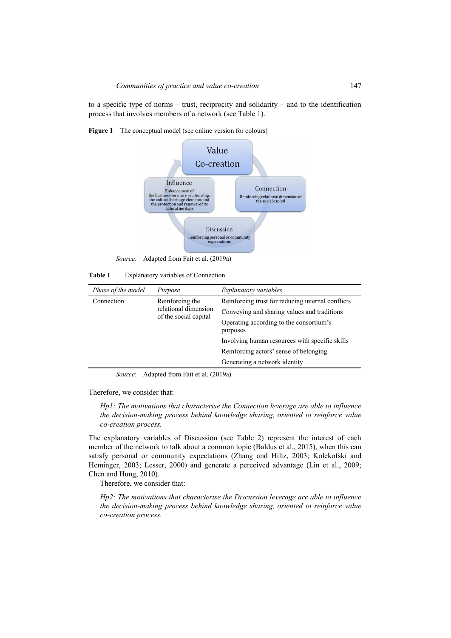to a specific type of norms – trust, reciprocity and solidarity – and to the identification process that involves members of a network (see Table 1).





*Source*: Adapted from Fait et al. (2019a)

| Phase of the model | Purpose                                 | Explanatory variables                                                                            |
|--------------------|-----------------------------------------|--------------------------------------------------------------------------------------------------|
| Connection         | Reinforcing the<br>relational dimension | Reinforcing trust for reducing internal conflicts<br>Conveying and sharing values and traditions |
|                    | of the social capital                   | Operating according to the consortium's<br>purposes                                              |
|                    |                                         | Involving human resources with specific skills                                                   |
|                    |                                         | Reinforcing actors' sense of belonging                                                           |
|                    |                                         | Generating a network identity                                                                    |

*Source*: Adapted from Fait et al. (2019a)

Therefore, we consider that:

*Hp1: The motivations that characterise the Connection leverage are able to influence the decision-making process behind knowledge sharing, oriented to reinforce value co-creation process.* 

The explanatory variables of Discussion (see Table 2) represent the interest of each member of the network to talk about a common topic (Baldus et al., 2015), when this can satisfy personal or community expectations (Zhang and Hiltz, 2003; Kolekofski and Heminger, 2003; Lesser, 2000) and generate a perceived advantage (Lin et al., 2009; Chen and Hung, 2010).

Therefore, we consider that:

*Hp2: The motivations that characterise the Discussion leverage are able to influence the decision-making process behind knowledge sharing, oriented to reinforce value co-creation process.*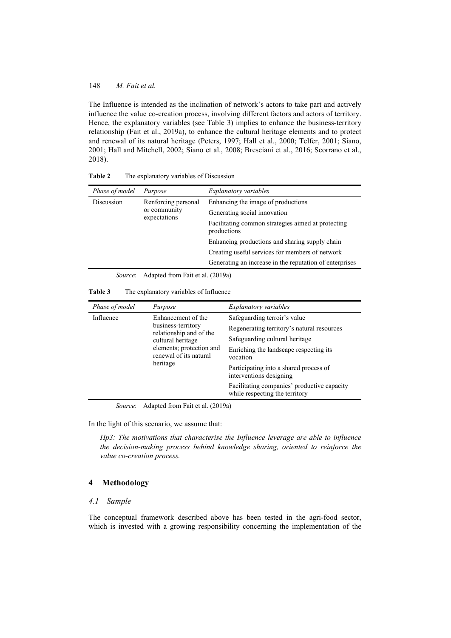The Influence is intended as the inclination of network's actors to take part and actively influence the value co-creation process, involving different factors and actors of territory. Hence, the explanatory variables (see Table 3) implies to enhance the business-territory relationship (Fait et al., 2019a), to enhance the cultural heritage elements and to protect and renewal of its natural heritage (Peters, 1997; Hall et al., 2000; Telfer, 2001; Siano, 2001; Hall and Mitchell, 2002; Siano et al., 2008; Bresciani et al., 2016; Scorrano et al., 2018).

| Phase of model | Purpose                      | Explanatory variables                                             |
|----------------|------------------------------|-------------------------------------------------------------------|
| Discussion     | Renforcing personal          | Enhancing the image of productions                                |
|                | or community<br>expectations | Generating social innovation                                      |
|                |                              | Facilitating common strategies aimed at protecting<br>productions |
|                |                              | Enhancing productions and sharing supply chain                    |
|                |                              | Creating useful services for members of network                   |
|                |                              | Generating an increase in the reputation of enterprises           |

**Table 2** The explanatory variables of Discussion

*Source*: Adapted from Fait et al. (2019a)

| <b>Table 3</b> | The explanatory variables of Influence |
|----------------|----------------------------------------|
|----------------|----------------------------------------|

| Phase of model | Purpose                                                                                                                                                    | <i>Explanatory variables</i>                                                                                                                                                                                                                                                                                             |
|----------------|------------------------------------------------------------------------------------------------------------------------------------------------------------|--------------------------------------------------------------------------------------------------------------------------------------------------------------------------------------------------------------------------------------------------------------------------------------------------------------------------|
| Influence      | Enhancement of the<br>business-territory<br>relationship and of the<br>cultural heritage<br>elements; protection and<br>renewal of its natural<br>heritage | Safeguarding terroir's value<br>Regenerating territory's natural resources<br>Safeguarding cultural heritage<br>Enriching the landscape respecting its<br>vocation<br>Participating into a shared process of<br>interventions designing<br>Facilitating companies' productive capacity<br>while respecting the territory |

*Source*: Adapted from Fait et al. (2019a)

In the light of this scenario, we assume that:

*Hp3: The motivations that characterise the Influence leverage are able to influence the decision-making process behind knowledge sharing, oriented to reinforce the value co-creation process.* 

## **4 Methodology**

## *4.1 Sample*

The conceptual framework described above has been tested in the agri-food sector, which is invested with a growing responsibility concerning the implementation of the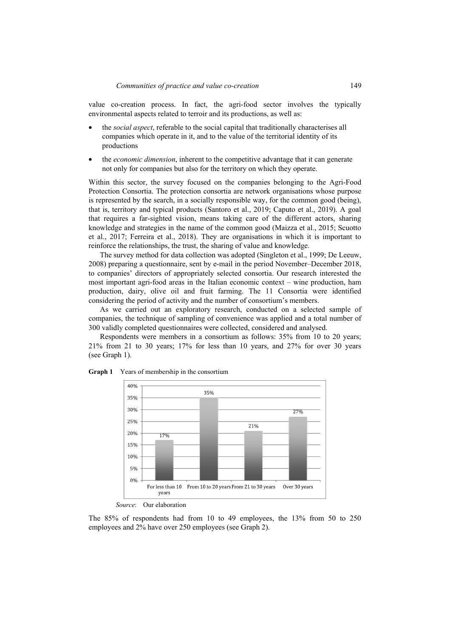value co-creation process. In fact, the agri-food sector involves the typically environmental aspects related to terroir and its productions, as well as:

- the *social aspect*, referable to the social capital that traditionally characterises all companies which operate in it, and to the value of the territorial identity of its productions
- the *economic dimension*, inherent to the competitive advantage that it can generate not only for companies but also for the territory on which they operate.

Within this sector, the survey focused on the companies belonging to the Agri-Food Protection Consortia. The protection consortia are network organisations whose purpose is represented by the search, in a socially responsible way, for the common good (being), that is, territory and typical products (Santoro et al., 2019; Caputo et al., 2019). A goal that requires a far-sighted vision, means taking care of the different actors, sharing knowledge and strategies in the name of the common good (Maizza et al., 2015; Scuotto et al., 2017; Ferreira et al., 2018). They are organisations in which it is important to reinforce the relationships, the trust, the sharing of value and knowledge.

The survey method for data collection was adopted (Singleton et al., 1999; De Leeuw, 2008) preparing a questionnaire, sent by e-mail in the period November–December 2018, to companies' directors of appropriately selected consortia. Our research interested the most important agri-food areas in the Italian economic context – wine production, ham production, dairy, olive oil and fruit farming. The 11 Consortia were identified considering the period of activity and the number of consortium's members.

As we carried out an exploratory research, conducted on a selected sample of companies, the technique of sampling of convenience was applied and a total number of 300 validly completed questionnaires were collected, considered and analysed.

Respondents were members in a consortium as follows: 35% from 10 to 20 years; 21% from 21 to 30 years; 17% for less than 10 years, and 27% for over 30 years (see Graph 1).



**Graph 1** Years of membership in the consortium

The 85% of respondents had from 10 to 49 employees, the 13% from 50 to 250 employees and 2% have over 250 employees (see Graph 2).

*Source*: Our elaboration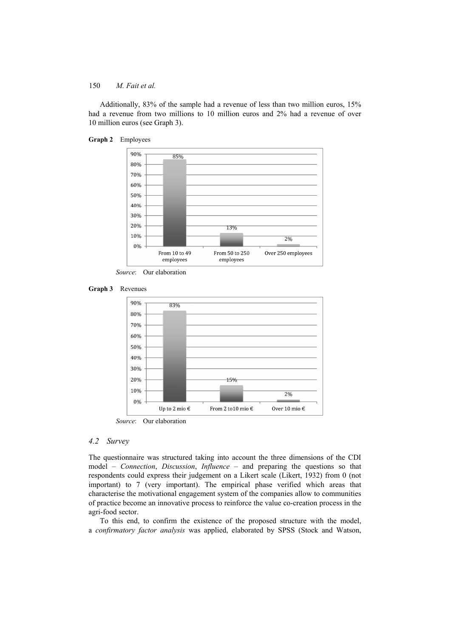Additionally, 83% of the sample had a revenue of less than two million euros, 15% had a revenue from two millions to 10 million euros and 2% had a revenue of over 10 million euros (see Graph 3).





*Source*: Our elaboration





*Source*: Our elaboration

### *4.2 Survey*

The questionnaire was structured taking into account the three dimensions of the CDI model – *Connection*, *Discussion*, *Influence* – and preparing the questions so that respondents could express their judgement on a Likert scale (Likert, 1932) from 0 (not important) to 7 (very important). The empirical phase verified which areas that characterise the motivational engagement system of the companies allow to communities of practice become an innovative process to reinforce the value co-creation process in the agri-food sector.

To this end, to confirm the existence of the proposed structure with the model, a *confirmatory factor analysis* was applied, elaborated by SPSS (Stock and Watson,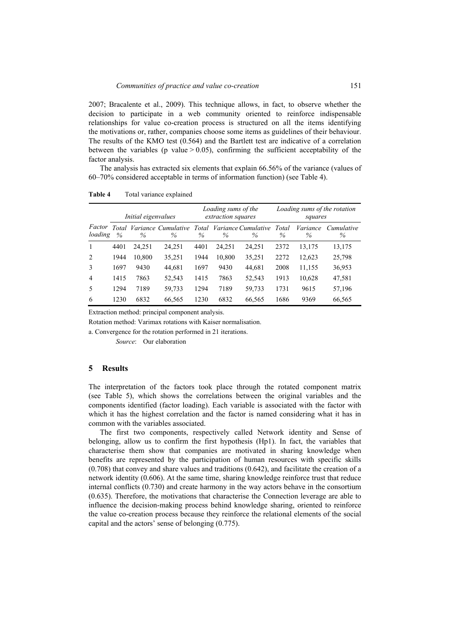2007; Bracalente et al., 2009). This technique allows, in fact, to observe whether the decision to participate in a web community oriented to reinforce indispensable relationships for value co-creation process is structured on all the items identifying the motivations or, rather, companies choose some items as guidelines of their behaviour. The results of the KMO test (0.564) and the Bartlett test are indicative of a correlation between the variables (p value  $> 0.05$ ), confirming the sufficient acceptability of the factor analysis.

The analysis has extracted six elements that explain 66.56% of the variance (values of 60–70% considered acceptable in terms of information function) (see Table 4).

|                   |      | Initial eigenvalues |                                   | Loading sums of the<br>extraction squares |        |                                    | Loading sums of the rotation<br>squares |                  |                    |
|-------------------|------|---------------------|-----------------------------------|-------------------------------------------|--------|------------------------------------|-----------------------------------------|------------------|--------------------|
| Factor<br>loading | $\%$ | $\%$                | Total Variance Cumulative<br>$\%$ | Total<br>$\%$                             | $\%$   | <i>Variance Cumulative</i><br>$\%$ | Total<br>$\%$                           | Variance<br>$\%$ | Cumulative<br>$\%$ |
| 1                 | 4401 | 24,251              | 24,251                            | 4401                                      | 24,251 | 24,251                             | 2372                                    | 13,175           | 13,175             |
| 2                 | 1944 | 10.800              | 35,251                            | 1944                                      | 10,800 | 35,251                             | 2272                                    | 12,623           | 25,798             |
| 3                 | 1697 | 9430                | 44,681                            | 1697                                      | 9430   | 44,681                             | 2008                                    | 11,155           | 36,953             |
| $\overline{4}$    | 1415 | 7863                | 52,543                            | 1415                                      | 7863   | 52,543                             | 1913                                    | 10,628           | 47,581             |
| 5                 | 1294 | 7189                | 59,733                            | 1294                                      | 7189   | 59,733                             | 1731                                    | 9615             | 57,196             |
| 6                 | 1230 | 6832                | 66,565                            | 1230                                      | 6832   | 66,565                             | 1686                                    | 9369             | 66,565             |

**Table 4** Total variance explained

Extraction method: principal component analysis.

Rotation method: Varimax rotations with Kaiser normalisation.

a. Convergence for the rotation performed in 21 iterations.

*Source*: Our elaboration

#### **5 Results**

The interpretation of the factors took place through the rotated component matrix (see Table 5), which shows the correlations between the original variables and the components identified (factor loading). Each variable is associated with the factor with which it has the highest correlation and the factor is named considering what it has in common with the variables associated.

The first two components, respectively called Network identity and Sense of belonging, allow us to confirm the first hypothesis (Hp1). In fact, the variables that characterise them show that companies are motivated in sharing knowledge when benefits are represented by the participation of human resources with specific skills (0.708) that convey and share values and traditions (0.642), and facilitate the creation of a network identity (0.606). At the same time, sharing knowledge reinforce trust that reduce internal conflicts (0.730) and create harmony in the way actors behave in the consortium (0.635). Therefore, the motivations that characterise the Connection leverage are able to influence the decision-making process behind knowledge sharing, oriented to reinforce the value co-creation process because they reinforce the relational elements of the social capital and the actors' sense of belonging (0.775).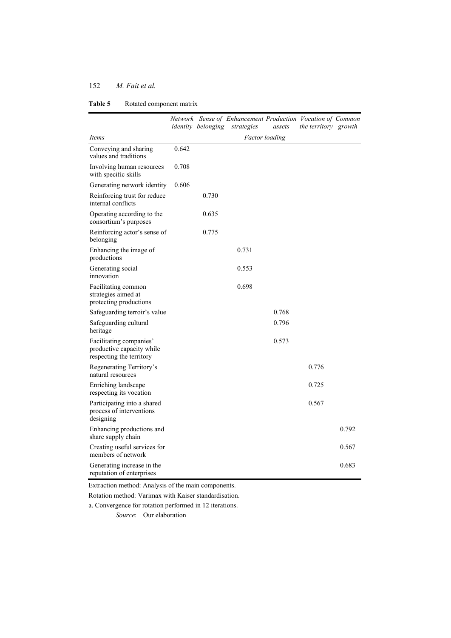| Table 5<br>Rotated component matrix |  |
|-------------------------------------|--|
|-------------------------------------|--|

|                                                                                  |                       | <i>identity belonging</i> | Network Sense of Enhancement Production Vocation of Common<br>strategies | assets | the territory growth |       |  |  |  |  |
|----------------------------------------------------------------------------------|-----------------------|---------------------------|--------------------------------------------------------------------------|--------|----------------------|-------|--|--|--|--|
| Items                                                                            | <b>Factor</b> loading |                           |                                                                          |        |                      |       |  |  |  |  |
| Conveying and sharing<br>values and traditions                                   | 0.642                 |                           |                                                                          |        |                      |       |  |  |  |  |
| Involving human resources<br>with specific skills                                | 0.708                 |                           |                                                                          |        |                      |       |  |  |  |  |
| Generating network identity                                                      | 0.606                 |                           |                                                                          |        |                      |       |  |  |  |  |
| Reinforcing trust for reduce<br>internal conflicts                               |                       | 0.730                     |                                                                          |        |                      |       |  |  |  |  |
| Operating according to the<br>consortium's purposes                              |                       | 0.635                     |                                                                          |        |                      |       |  |  |  |  |
| Reinforcing actor's sense of<br>belonging                                        |                       | 0.775                     |                                                                          |        |                      |       |  |  |  |  |
| Enhancing the image of<br>productions                                            |                       |                           | 0.731                                                                    |        |                      |       |  |  |  |  |
| Generating social<br>innovation                                                  |                       |                           | 0.553                                                                    |        |                      |       |  |  |  |  |
| Facilitating common<br>strategies aimed at<br>protecting productions             |                       |                           | 0.698                                                                    |        |                      |       |  |  |  |  |
| Safeguarding terroir's value                                                     |                       |                           |                                                                          | 0.768  |                      |       |  |  |  |  |
| Safeguarding cultural<br>heritage                                                |                       |                           |                                                                          | 0.796  |                      |       |  |  |  |  |
| Facilitating companies'<br>productive capacity while<br>respecting the territory |                       |                           |                                                                          | 0.573  |                      |       |  |  |  |  |
| Regenerating Territory's<br>natural resources                                    |                       |                           |                                                                          |        | 0.776                |       |  |  |  |  |
| Enriching landscape<br>respecting its vocation                                   |                       |                           |                                                                          |        | 0.725                |       |  |  |  |  |
| Participating into a shared<br>process of interventions<br>designing             |                       |                           |                                                                          |        | 0.567                |       |  |  |  |  |
| Enhancing productions and<br>share supply chain                                  |                       |                           |                                                                          |        |                      | 0.792 |  |  |  |  |
| Creating useful services for<br>members of network                               |                       |                           |                                                                          |        |                      | 0.567 |  |  |  |  |
| Generating increase in the<br>reputation of enterprises                          |                       |                           |                                                                          |        |                      | 0.683 |  |  |  |  |

Extraction method: Analysis of the main components.

Rotation method: Varimax with Kaiser standardisation.

a. Convergence for rotation performed in 12 iterations.

*Source*: Our elaboration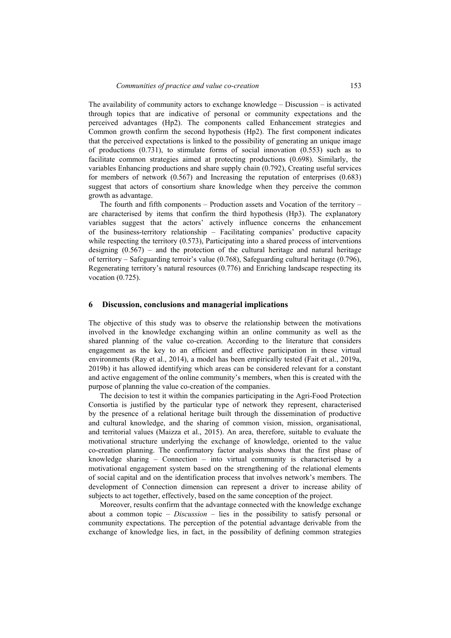The availability of community actors to exchange knowledge – Discussion – is activated through topics that are indicative of personal or community expectations and the perceived advantages (Hp2). The components called Enhancement strategies and Common growth confirm the second hypothesis (Hp2). The first component indicates that the perceived expectations is linked to the possibility of generating an unique image of productions (0.731), to stimulate forms of social innovation (0.553) such as to facilitate common strategies aimed at protecting productions (0.698). Similarly, the variables Enhancing productions and share supply chain (0.792), Creating useful services for members of network  $(0.567)$  and Increasing the reputation of enterprises  $(0.683)$ suggest that actors of consortium share knowledge when they perceive the common growth as advantage.

The fourth and fifth components – Production assets and Vocation of the territory – are characterised by items that confirm the third hypothesis (Hp3). The explanatory variables suggest that the actors' actively influence concerns the enhancement of the business-territory relationship – Facilitating companies' productive capacity while respecting the territory  $(0.573)$ , Participating into a shared process of interventions designing  $(0.567)$  – and the protection of the cultural heritage and natural heritage of territory – Safeguarding terroir's value (0.768), Safeguarding cultural heritage (0.796), Regenerating territory's natural resources (0.776) and Enriching landscape respecting its vocation (0.725).

#### **6 Discussion, conclusions and managerial implications**

The objective of this study was to observe the relationship between the motivations involved in the knowledge exchanging within an online community as well as the shared planning of the value co-creation. According to the literature that considers engagement as the key to an efficient and effective participation in these virtual environments (Ray et al., 2014), a model has been empirically tested (Fait et al., 2019a, 2019b) it has allowed identifying which areas can be considered relevant for a constant and active engagement of the online community's members, when this is created with the purpose of planning the value co-creation of the companies.

The decision to test it within the companies participating in the Agri-Food Protection Consortia is justified by the particular type of network they represent, characterised by the presence of a relational heritage built through the dissemination of productive and cultural knowledge, and the sharing of common vision, mission, organisational, and territorial values (Maizza et al., 2015). An area, therefore, suitable to evaluate the motivational structure underlying the exchange of knowledge, oriented to the value co-creation planning. The confirmatory factor analysis shows that the first phase of knowledge sharing – Connection – into virtual community is characterised by a motivational engagement system based on the strengthening of the relational elements of social capital and on the identification process that involves network's members. The development of Connection dimension can represent a driver to increase ability of subjects to act together, effectively, based on the same conception of the project.

Moreover, results confirm that the advantage connected with the knowledge exchange about a common topic – *Discussion* – lies in the possibility to satisfy personal or community expectations. The perception of the potential advantage derivable from the exchange of knowledge lies, in fact, in the possibility of defining common strategies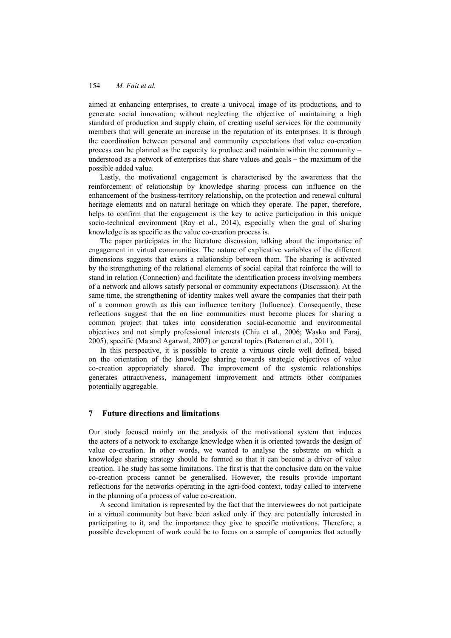aimed at enhancing enterprises, to create a univocal image of its productions, and to generate social innovation; without neglecting the objective of maintaining a high standard of production and supply chain, of creating useful services for the community members that will generate an increase in the reputation of its enterprises. It is through the coordination between personal and community expectations that value co-creation process can be planned as the capacity to produce and maintain within the community – understood as a network of enterprises that share values and goals – the maximum of the possible added value.

Lastly, the motivational engagement is characterised by the awareness that the reinforcement of relationship by knowledge sharing process can influence on the enhancement of the business-territory relationship, on the protection and renewal cultural heritage elements and on natural heritage on which they operate. The paper, therefore, helps to confirm that the engagement is the key to active participation in this unique socio-technical environment (Ray et al., 2014), especially when the goal of sharing knowledge is as specific as the value co-creation process is.

The paper participates in the literature discussion, talking about the importance of engagement in virtual communities. The nature of explicative variables of the different dimensions suggests that exists a relationship between them. The sharing is activated by the strengthening of the relational elements of social capital that reinforce the will to stand in relation (Connection) and facilitate the identification process involving members of a network and allows satisfy personal or community expectations (Discussion). At the same time, the strengthening of identity makes well aware the companies that their path of a common growth as this can influence territory (Influence). Consequently, these reflections suggest that the on line communities must become places for sharing a common project that takes into consideration social-economic and environmental objectives and not simply professional interests (Chiu et al., 2006; Wasko and Faraj, 2005), specific (Ma and Agarwal, 2007) or general topics (Bateman et al., 2011).

In this perspective, it is possible to create a virtuous circle well defined, based on the orientation of the knowledge sharing towards strategic objectives of value co-creation appropriately shared. The improvement of the systemic relationships generates attractiveness, management improvement and attracts other companies potentially aggregable.

### **7 Future directions and limitations**

Our study focused mainly on the analysis of the motivational system that induces the actors of a network to exchange knowledge when it is oriented towards the design of value co-creation. In other words, we wanted to analyse the substrate on which a knowledge sharing strategy should be formed so that it can become a driver of value creation. The study has some limitations. The first is that the conclusive data on the value co-creation process cannot be generalised. However, the results provide important reflections for the networks operating in the agri-food context, today called to intervene in the planning of a process of value co-creation.

A second limitation is represented by the fact that the interviewees do not participate in a virtual community but have been asked only if they are potentially interested in participating to it, and the importance they give to specific motivations. Therefore, a possible development of work could be to focus on a sample of companies that actually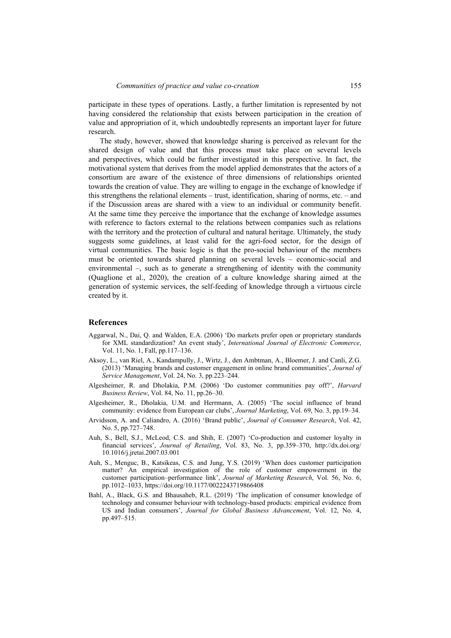participate in these types of operations. Lastly, a further limitation is represented by not having considered the relationship that exists between participation in the creation of value and appropriation of it, which undoubtedly represents an important layer for future research.

The study, however, showed that knowledge sharing is perceived as relevant for the shared design of value and that this process must take place on several levels and perspectives, which could be further investigated in this perspective. In fact, the motivational system that derives from the model applied demonstrates that the actors of a consortium are aware of the existence of three dimensions of relationships oriented towards the creation of value. They are willing to engage in the exchange of knowledge if this strengthens the relational elements – trust, identification, sharing of norms, etc. – and if the Discussion areas are shared with a view to an individual or community benefit. At the same time they perceive the importance that the exchange of knowledge assumes with reference to factors external to the relations between companies such as relations with the territory and the protection of cultural and natural heritage. Ultimately, the study suggests some guidelines, at least valid for the agri-food sector, for the design of virtual communities. The basic logic is that the pro-social behaviour of the members must be oriented towards shared planning on several levels – economic-social and environmental –, such as to generate a strengthening of identity with the community (Quaglione et al., 2020), the creation of a culture knowledge sharing aimed at the generation of systemic services, the self-feeding of knowledge through a virtuous circle created by it.

#### **References**

- Aggarwal, N., Dai, Q. and Walden, E.A. (2006) 'Do markets prefer open or proprietary standards for XML standardization? An event study', *International Journal of Electronic Commerce*, Vol. 11, No. 1, Fall, pp.117–136.
- Aksoy, L., van Riel, A., Kandampully, J., Wirtz, J., den Ambtman, A., Bloemer, J. and Canli, Z.G. (2013) 'Managing brands and customer engagement in online brand communities', *Journal of Service Management*, Vol. 24, No. 3, pp.223–244.
- Algesheimer, R. and Dholakia, P.M. (2006) 'Do customer communities pay off?', *Harvard Business Review*, Vol. 84, No. 11, pp.26–30.
- Algesheimer, R., Dholakia, U.M. and Herrmann, A. (2005) 'The social influence of brand community: evidence from European car clubs', *Journal Marketing*, Vol. 69, No. 3, pp.19–34.
- Arvidsson, A. and Caliandro, A. (2016) 'Brand public', *Journal of Consumer Research*, Vol. 42, No. 5, pp.727–748.
- Auh, S., Bell, S.J., McLeod, C.S. and Shih, E. (2007) 'Co-production and customer loyalty in financial services', *Journal of Retailing*, Vol. 83, No. 3, pp.359–370, http://dx.doi.org/ 10.1016/j.jretai.2007.03.001
- Auh, S., Menguc, B., Katsikeas, C.S. and Jung, Y.S. (2019) 'When does customer participation matter? An empirical investigation of the role of customer empowerment in the customer participation–performance link', *Journal of Marketing Research*, Vol. 56, No. 6, pp.1012–1033, https://doi.org/10.1177/0022243719866408
- Bahl, A., Black, G.S. and Bhausaheb, R.L. (2019) 'The implication of consumer knowledge of technology and consumer behaviour with technology-based products: empirical evidence from US and Indian consumers', *Journal for Global Business Advancement*, Vol. 12, No. 4, pp.497–515.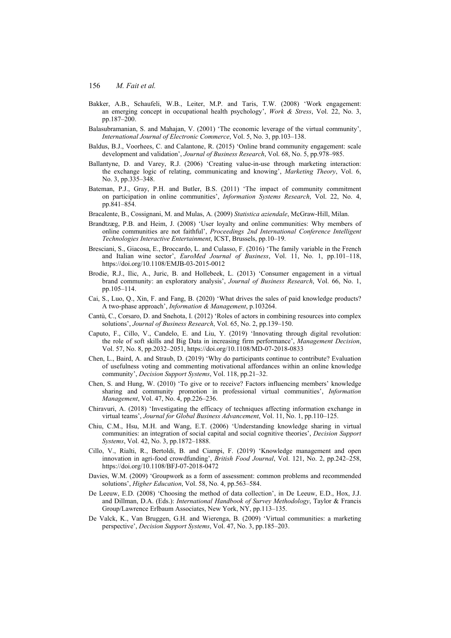- Bakker, A.B., Schaufeli, W.B., Leiter, M.P. and Taris, T.W. (2008) 'Work engagement: an emerging concept in occupational health psychology', *Work & Stress*, Vol. 22, No. 3, pp.187–200.
- Balasubramanian, S. and Mahajan, V. (2001) 'The economic leverage of the virtual community', *International Journal of Electronic Commerce*, Vol. 5, No. 3, pp.103–138.
- Baldus, B.J., Voorhees, C. and Calantone, R. (2015) 'Online brand community engagement: scale development and validation', *Journal of Business Research*, Vol. 68, No. 5, pp.978–985.
- Ballantyne, D. and Varey, R.J. (2006) 'Creating value-in-use through marketing interaction: the exchange logic of relating, communicating and knowing', *Marketing Theory*, Vol. 6, No. 3, pp.335–348.
- Bateman, P.J., Gray, P.H. and Butler, B.S. (2011) 'The impact of community commitment on participation in online communities', *Information Systems Research*, Vol. 22, No. 4, pp.841–854.
- Bracalente, B., Cossignani, M. and Mulas, A. (2009) *Statistica aziendale*, McGraw-Hill, Milan.
- Brandtzæg, P.B. and Heim, J. (2008) 'User loyalty and online communities: Why members of online communities are not faithful', *Proceedings 2nd International Conference Intelligent Technologies Interactive Entertainment*, ICST, Brussels, pp.10–19.
- Bresciani, S., Giacosa, E., Broccardo, L. and Culasso, F. (2016) 'The family variable in the French and Italian wine sector', *EuroMed Journal of Business*, Vol. 11, No. 1, pp.101–118, https://doi.org/10.1108/EMJB-03-2015-0012
- Brodie, R.J., Ilic, A., Juric, B. and Hollebeek, L. (2013) 'Consumer engagement in a virtual brand community: an exploratory analysis', *Journal of Business Research*, Vol. 66, No. 1, pp.105–114.
- Cai, S., Luo, Q., Xin, F. and Fang, B. (2020) 'What drives the sales of paid knowledge products? A two-phase approach', *Information & Management*, p.103264.
- Cantù, C., Corsaro, D. and Snehota, I. (2012) 'Roles of actors in combining resources into complex solutions', *Journal of Business Research*, Vol. 65, No. 2, pp.139–150.
- Caputo, F., Cillo, V., Candelo, E. and Liu, Y. (2019) 'Innovating through digital revolution: the role of soft skills and Big Data in increasing firm performance', *Management Decision*, Vol. 57, No. 8, pp.2032–2051, https://doi.org/10.1108/MD-07-2018-0833
- Chen, L., Baird, A. and Straub, D. (2019) 'Why do participants continue to contribute? Evaluation of usefulness voting and commenting motivational affordances within an online knowledge community', *Decision Support Systems*, Vol. 118, pp.21–32.
- Chen, S. and Hung, W. (2010) 'To give or to receive? Factors influencing members' knowledge sharing and community promotion in professional virtual communities', *Information Management*, Vol. 47, No. 4, pp.226–236.
- Chiravuri, A. (2018) 'Investigating the efficacy of techniques affecting information exchange in virtual teams', *Journal for Global Business Advancement*, Vol. 11, No. 1, pp.110–125.
- Chiu, C.M., Hsu, M.H. and Wang, E.T. (2006) 'Understanding knowledge sharing in virtual communities: an integration of social capital and social cognitive theories', *Decision Support Systems*, Vol. 42, No. 3, pp.1872–1888.
- Cillo, V., Rialti, R., Bertoldi, B. and Ciampi, F. (2019) 'Knowledge management and open innovation in agri-food crowdfunding', *British Food Journal*, Vol. 121, No. 2, pp.242–258, https://doi.org/10.1108/BFJ-07-2018-0472
- Davies, W.M. (2009) 'Groupwork as a form of assessment: common problems and recommended solutions', *Higher Education*, Vol. 58, No. 4, pp.563–584.
- De Leeuw, E.D. (2008) 'Choosing the method of data collection', in De Leeuw, E.D., Hox, J.J. and Dillman, D.A. (Eds.): *International Handbook of Survey Methodology*, Taylor & Francis Group/Lawrence Erlbaum Associates, New York, NY, pp.113–135.
- De Valck, K., Van Bruggen, G.H. and Wierenga, B. (2009) 'Virtual communities: a marketing perspective', *Decision Support Systems*, Vol. 47, No. 3, pp.185–203.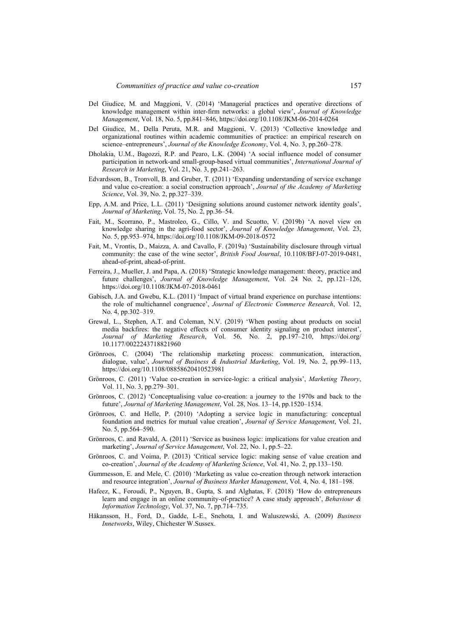- Del Giudice, M. and Maggioni, V. (2014) 'Managerial practices and operative directions of knowledge management within inter-firm networks: a global view', *Journal of Knowledge Management*, Vol. 18, No. 5, pp.841–846, https://doi.org/10.1108/JKM-06-2014-0264
- Del Giudice, M., Della Peruta, M.R. and Maggioni, V. (2013) 'Collective knowledge and organizational routines within academic communities of practice: an empirical research on science–entrepreneurs', *Journal of the Knowledge Economy*, Vol. 4, No. 3, pp.260–278.
- Dholakia, U.M., Bagozzi, R.P. and Pearo, L.K. (2004) 'A social influence model of consumer participation in network-and small-group-based virtual communities', *International Journal of Research in Marketing*, Vol. 21, No. 3, pp.241–263.
- Edvardsson, B., Tronvoll, B. and Gruber, T. (2011) 'Expanding understanding of service exchange and value co-creation: a social construction approach', *Journal of the Academy of Marketing Science*, Vol. 39, No. 2, pp.327–339.
- Epp, A.M. and Price, L.L. (2011) 'Designing solutions around customer network identity goals', *Journal of Marketing*, Vol. 75, No. 2, pp.36–54.
- Fait, M., Scorrano, P., Mastroleo, G., Cillo, V. and Scuotto, V. (2019b) 'A novel view on knowledge sharing in the agri-food sector', *Journal of Knowledge Management*, Vol. 23, No. 5, pp.953–974, https://doi.org/10.1108/JKM-09-2018-0572
- Fait, M., Vrontis, D., Maizza, A. and Cavallo, F. (2019a) 'Sustainability disclosure through virtual community: the case of the wine sector', *British Food Journal*, 10.1108/BFJ-07-2019-0481, ahead-of-print, ahead-of-print.
- Ferreira, J., Mueller, J. and Papa, A. (2018) 'Strategic knowledge management: theory, practice and future challenges', *Journal of Knowledge Management*, Vol. 24 No. 2, pp.121–126, https://doi.org/10.1108/JKM-07-2018-0461
- Gabisch, J.A. and Gwebu, K.L. (2011) 'Impact of virtual brand experience on purchase intentions: the role of multichannel congruence', *Journal of Electronic Commerce Research*, Vol. 12, No. 4, pp.302–319.
- Grewal, L., Stephen, A.T. and Coleman, N.V. (2019) 'When posting about products on social media backfires: the negative effects of consumer identity signaling on product interest', *Journal of Marketing Research*, Vol. 56, No. 2, pp.197–210, https://doi.org/ 10.1177/0022243718821960
- Grönroos, C. (2004) 'The relationship marketing process: communication, interaction, dialogue, value', *Journal of Business & Industrial Marketing*, Vol. 19, No. 2, pp.99–113, https://doi.org/10.1108/08858620410523981
- Grönroos, C. (2011) 'Value co-creation in service-logic: a critical analysis', *Marketing Theory*, Vol. 11, No. 3, pp.279–301.
- Grönroos, C. (2012) 'Conceptualising value co-creation: a journey to the 1970s and back to the future', *Journal of Marketing Management*, Vol. 28, Nos. 13–14, pp.1520–1534.
- Grönroos, C. and Helle, P. (2010) 'Adopting a service logic in manufacturing: conceptual foundation and metrics for mutual value creation', *Journal of Service Management*, Vol. 21, No. 5, pp.564–590.
- Grönroos, C. and Ravald, A. (2011) 'Service as business logic: implications for value creation and marketing', *Journal of Service Management*, Vol. 22, No. 1, pp.5–22.
- Grönroos, C. and Voima, P. (2013) 'Critical service logic: making sense of value creation and co-creation', *Journal of the Academy of Marketing Science*, Vol. 41, No. 2, pp.133–150.
- Gummesson, E. and Mele, C. (2010) 'Marketing as value co-creation through network interaction and resource integration', *Journal of Business Market Management*, Vol. 4, No. 4, 181–198.
- Hafeez, K., Foroudi, P., Nguyen, B., Gupta, S. and Alghatas, F. (2018) 'How do entrepreneurs learn and engage in an online community-of-practice? A case study approach', *Behaviour & Information Technology*, Vol. 37, No. 7, pp.714–735.
- Håkansson, H., Ford, D., Gadde, L-E., Snehota, I. and Waluszewski, A. (2009) *Business Innetworks*, Wiley, Chichester W.Sussex.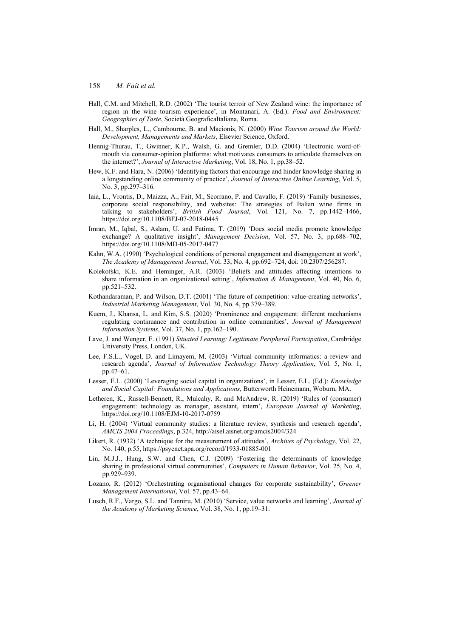- Hall, C.M. and Mitchell, R.D. (2002) 'The tourist terroir of New Zealand wine: the importance of region in the wine tourism experience', in Montanari, A. (Ed.): *Food and Environment: Geographies of Taste*, Società GeograficaItaliana, Roma.
- Hall, M., Sharples, L., Cambourne, B. and Macionis, N. (2000) *Wine Tourism around the World: Development, Managements and Markets*, Elsevier Science, Oxford.
- Hennig-Thurau, T., Gwinner, K.P., Walsh, G. and Gremler, D.D. (2004) 'Electronic word-ofmouth via consumer-opinion platforms: what motivates consumers to articulate themselves on the internet?', *Journal of Interactive Marketing*, Vol. 18, No. 1, pp.38–52.
- Hew, K.F. and Hara, N. (2006) 'Identifying factors that encourage and hinder knowledge sharing in a longstanding online community of practice', *Journal of Interactive Online Learning*, Vol. 5, No. 3, pp.297–316.
- Iaia, L., Vrontis, D., Maizza, A., Fait, M., Scorrano, P. and Cavallo, F. (2019) 'Family businesses, corporate social responsibility, and websites: The strategies of Italian wine firms in talking to stakeholders', *British Food Journal*, Vol. 121, No. 7, pp.1442–1466, https://doi.org/10.1108/BFJ-07-2018-0445
- Imran, M., Iqbal, S., Aslam, U. and Fatima, T. (2019) 'Does social media promote knowledge exchange? A qualitative insight', *Management Decision*, Vol. 57, No. 3, pp.688–702, https://doi.org/10.1108/MD-05-2017-0477
- Kahn, W.A. (1990) 'Psychological conditions of personal engagement and disengagement at work', *The Academy of Management Journal*, Vol. 33, No. 4, pp.692–724, doi: 10.2307/256287.
- Kolekofski, K.E. and Heminger, A.R. (2003) 'Beliefs and attitudes affecting intentions to share information in an organizational setting', *Information & Management*, Vol. 40, No. 6, pp.521–532.
- Kothandaraman, P. and Wilson, D.T. (2001) 'The future of competition: value-creating networks', *Industrial Marketing Management*, Vol. 30, No. 4, pp.379–389.
- Kuem, J., Khansa, L. and Kim, S.S. (2020) 'Prominence and engagement: different mechanisms regulating continuance and contribution in online communities', *Journal of Management Information Systems*, Vol. 37, No. 1, pp.162–190.
- Lave, J. and Wenger, E. (1991) *Situated Learning: Legitimate Peripheral Participation*, Cambridge University Press, London, UK.
- Lee, F.S.L., Vogel, D. and Limayem, M. (2003) 'Virtual community informatics: a review and research agenda', *Journal of Information Technology Theory Application*, Vol. 5, No. 1, pp.47–61.
- Lesser, E.L. (2000) 'Leveraging social capital in organizations', in Lesser, E.L. (Ed.): *Knowledge and Social Capital: Foundations and Applications*, Butterworth Heinemann, Woburn, MA.
- Letheren, K., Russell-Bennett, R., Mulcahy, R. and McAndrew, R. (2019) 'Rules of (consumer) engagement: technology as manager, assistant, intern', *European Journal of Marketing*, https://doi.org/10.1108/EJM-10-2017-0759
- Li, H. (2004) 'Virtual community studies: a literature review, synthesis and research agenda', *AMCIS 2004 Proceedings*, p.324, http://aisel.aisnet.org/amcis2004/324
- Likert, R. (1932) 'A technique for the measurement of attitudes', *Archives of Psychology*, Vol. 22, No. 140, p.55, https://psycnet.apa.org/record/1933-01885-001
- Lin, M.J.J., Hung, S.W. and Chen, C.J. (2009) 'Fostering the determinants of knowledge sharing in professional virtual communities', *Computers in Human Behavior*, Vol. 25, No. 4, pp.929–939.
- Lozano, R. (2012) 'Orchestrating organisational changes for corporate sustainability', *Greener Management International*, Vol. 57, pp.43–64.
- Lusch, R.F., Vargo, S.L. and Tanniru, M. (2010) 'Service, value networks and learning', *Journal of the Academy of Marketing Science*, Vol. 38, No. 1, pp.19–31.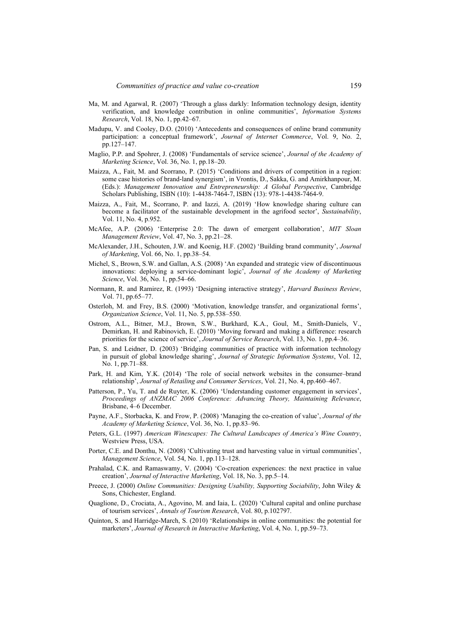- Ma, M. and Agarwal, R. (2007) 'Through a glass darkly: Information technology design, identity verification, and knowledge contribution in online communities', *Information Systems Research*, Vol. 18, No. 1, pp.42–67.
- Madupu, V. and Cooley, D.O. (2010) 'Antecedents and consequences of online brand community participation: a conceptual framework', *Journal of Internet Commerce*, Vol. 9, No. 2, pp.127–147.
- Maglio, P.P. and Spohrer, J. (2008) 'Fundamentals of service science', *Journal of the Academy of Marketing Science*, Vol. 36, No. 1, pp.18–20.
- Maizza, A., Fait, M. and Scorrano, P. (2015) 'Conditions and drivers of competition in a region: some case histories of brand-land synergism', in Vrontis, D., Sakka, G. and Amirkhanpour, M. (Eds.): *Management Innovation and Entrepreneurship: A Global Perspective*, Cambridge Scholars Publishing, ISBN (10): 1-4438-7464-7, ISBN (13): 978-1-4438-7464-9.
- Maizza, A., Fait, M., Scorrano, P. and Iazzi, A. (2019) 'How knowledge sharing culture can become a facilitator of the sustainable development in the agrifood sector', *Sustainability*, Vol. 11, No. 4, p.952.
- McAfee, A.P. (2006) 'Enterprise 2.0: The dawn of emergent collaboration', *MIT Sloan Management Review*, Vol. 47, No. 3, pp.21–28.
- McAlexander, J.H., Schouten, J.W. and Koenig, H.F. (2002) 'Building brand community', *Journal of Marketing*, Vol. 66, No. 1, pp.38–54.
- Michel, S., Brown, S.W. and Gallan, A.S. (2008) 'An expanded and strategic view of discontinuous innovations: deploying a service-dominant logic', *Journal of the Academy of Marketing Science*, Vol. 36, No. 1, pp.54–66.
- Normann, R. and Ramirez, R. (1993) 'Designing interactive strategy', *Harvard Business Review*, Vol. 71, pp.65–77.
- Osterloh, M. and Frey, B.S. (2000) 'Motivation, knowledge transfer, and organizational forms', *Organization Science*, Vol. 11, No. 5, pp.538–550.
- Ostrom, A.L., Bitner, M.J., Brown, S.W., Burkhard, K.A., Goul, M., Smith-Daniels, V., Demirkan, H. and Rabinovich, E. (2010) 'Moving forward and making a difference: research priorities for the science of service', *Journal of Service Research*, Vol. 13, No. 1, pp.4–36.
- Pan, S. and Leidner, D. (2003) 'Bridging communities of practice with information technology in pursuit of global knowledge sharing', *Journal of Strategic Information Systems*, Vol. 12, No. 1, pp.71–88.
- Park, H. and Kim, Y.K. (2014) 'The role of social network websites in the consumer–brand relationship', *Journal of Retailing and Consumer Services*, Vol. 21, No. 4, pp.460–467.
- Patterson, P., Yu, T. and de Ruyter, K. (2006) 'Understanding customer engagement in services', *Proceedings of ANZMAC 2006 Conference: Advancing Theory, Maintaining Relevance*, Brisbane, 4–6 December.
- Payne, A.F., Storbacka, K. and Frow, P. (2008) 'Managing the co-creation of value', *Journal of the Academy of Marketing Science*, Vol. 36, No. 1, pp.83–96.
- Peters, G.L. (1997) *American Winescapes: The Cultural Landscapes of America's Wine Country*, Westview Press, USA.
- Porter, C.E. and Donthu, N. (2008) 'Cultivating trust and harvesting value in virtual communities', *Management Science*, Vol. 54, No. 1, pp.113–128.
- Prahalad, C.K. and Ramaswamy, V. (2004) 'Co-creation experiences: the next practice in value creation', *Journal of Interactive Marketing*, Vol. 18, No. 3, pp.5–14.
- Preece, J. (2000) *Online Communities: Designing Usability, Supporting Sociability*, John Wiley & Sons, Chichester, England.
- Quaglione, D., Crociata, A., Agovino, M. and Iaia, L. (2020) 'Cultural capital and online purchase of tourism services', *Annals of Tourism Research*, Vol. 80, p.102797.
- Quinton, S. and Harridge-March, S. (2010) 'Relationships in online communities: the potential for marketers', *Journal of Research in Interactive Marketing*, Vol. 4, No. 1, pp.59–73.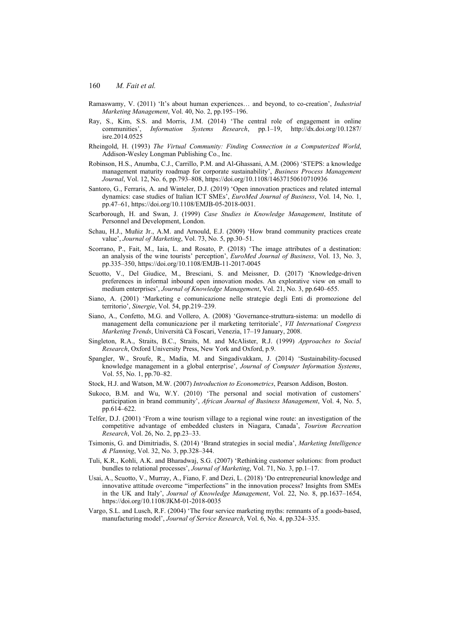- Ramaswamy, V. (2011) 'It's about human experiences… and beyond, to co-creation', *Industrial Marketing Management*, Vol. 40, No. 2, pp.195–196.
- Ray, S., Kim, S.S. and Morris, J.M. (2014) 'The central role of engagement in online communities', *Information Systems Research*, pp.1–19, http://dx.doi.org/10.1287/ isre.2014.0525
- Rheingold, H. (1993) *The Virtual Community: Finding Connection in a Computerized World*, Addison-Wesley Longman Publishing Co., Inc.
- Robinson, H.S., Anumba, C.J., Carrillo, P.M. and Al-Ghassani, A.M. (2006) 'STEPS: a knowledge management maturity roadmap for corporate sustainability', *Business Process Management Journal*, Vol. 12, No. 6, pp.793–808, https://doi.org/10.1108/14637150610710936
- Santoro, G., Ferraris, A. and Winteler, D.J. (2019) 'Open innovation practices and related internal dynamics: case studies of Italian ICT SMEs', *EuroMed Journal of Business*, Vol. 14, No. 1, pp.47–61, https://doi.org/10.1108/EMJB-05-2018-0031.
- Scarborough, H. and Swan, J. (1999) *Case Studies in Knowledge Management*, Institute of Personnel and Development, London.
- Schau, H.J., Muñiz Jr., A.M. and Arnould, E.J. (2009) 'How brand community practices create value', *Journal of Marketing*, Vol. 73, No. 5, pp.30–51.
- Scorrano, P., Fait, M., Iaia, L. and Rosato, P. (2018) 'The image attributes of a destination: an analysis of the wine tourists' perception', *EuroMed Journal of Business*, Vol. 13, No. 3, pp.335–350, https://doi.org/10.1108/EMJB-11-2017-0045
- Scuotto, V., Del Giudice, M., Bresciani, S. and Meissner, D. (2017) 'Knowledge-driven preferences in informal inbound open innovation modes. An explorative view on small to medium enterprises', *Journal of Knowledge Management*, Vol. 21, No. 3, pp.640–655.
- Siano, A. (2001) 'Marketing e comunicazione nelle strategie degli Enti di promozione del territorio', *Sinergie*, Vol. 54, pp.219–239.
- Siano, A., Confetto, M.G. and Vollero, A. (2008) 'Governance-struttura-sistema: un modello di management della comunicazione per il marketing territoriale', *VII International Congress Marketing Trends*, Università Cà Foscari, Venezia, 17–19 January, 2008.
- Singleton, R.A., Straits, B.C., Straits, M. and McAlister, R.J. (1999) *Approaches to Social Research*, Oxford University Press, New York and Oxford, p.9.
- Spangler, W., Sroufe, R., Madia, M. and Singadivakkam, J. (2014) 'Sustainability-focused knowledge management in a global enterprise', *Journal of Computer Information Systems*, Vol. 55, No. 1, pp.70–82.
- Stock, H.J. and Watson, M.W. (2007) *Introduction to Econometrics*, Pearson Addison, Boston.
- Sukoco, B.M. and Wu, W.Y. (2010) 'The personal and social motivation of customers' participation in brand community', *African Journal of Business Management*, Vol. 4, No. 5, pp.614–622.
- Telfer, D.J. (2001) 'From a wine tourism village to a regional wine route: an investigation of the competitive advantage of embedded clusters in Niagara, Canada', *Tourism Recreation Research*, Vol. 26, No. 2, pp.23–33.
- Tsimonis, G. and Dimitriadis, S. (2014) 'Brand strategies in social media', *Marketing Intelligence & Planning*, Vol. 32, No. 3, pp.328–344.
- Tuli, K.R., Kohli, A.K. and Bharadwaj, S.G. (2007) 'Rethinking customer solutions: from product bundles to relational processes', *Journal of Marketing*, Vol. 71, No. 3, pp.1–17.
- Usai, A., Scuotto, V., Murray, A., Fiano, F. and Dezi, L. (2018) 'Do entrepreneurial knowledge and innovative attitude overcome "imperfections" in the innovation process? Insights from SMEs in the UK and Italy', *Journal of Knowledge Management*, Vol. 22, No. 8, pp.1637–1654, https://doi.org/10.1108/JKM-01-2018-0035
- Vargo, S.L. and Lusch, R.F. (2004) 'The four service marketing myths: remnants of a goods-based, manufacturing model', *Journal of Service Research*, Vol. 6, No. 4, pp.324–335.